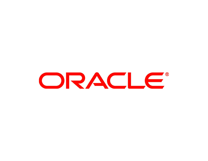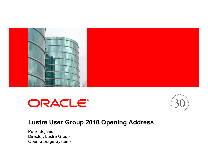

# ORACLE®



#### **Lustre User Group 2010 Opening Address**

Peter Bojanic Director, Lustre Group Open Storage Systems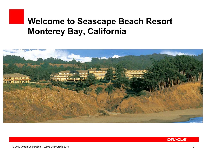# **Welcome to Seascape Beach Resort Monterey Bay, California**



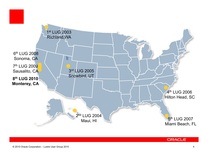

#### ORACLE®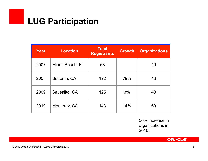# **LUG Participation**

| Year | <b>Location</b> | <b>Total</b><br><b>Registrants</b> | <b>Growth</b> | <b>Organizations</b> |
|------|-----------------|------------------------------------|---------------|----------------------|
| 2007 | Miami Beach, FL | 68                                 |               | 40                   |
| 2008 | Sonoma, CA      | 122                                | 79%           | 43                   |
| 2009 | Sausalito, CA   | 125                                | 3%            | 43                   |
| 2010 | Monterey, CA    | 143                                | 14%           | 60                   |

50% increase in organizations in 2010!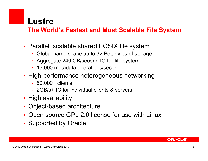#### **Lustre**

#### **The World's Fastest and Most Scalable File System**

- Parallel, scalable shared POSIX file system
	- Global name space up to 32 Petabytes of storage
	- Aggregate 240 GB/second IO for file system
	- 15,000 metadata operations/second
- High-performance heterogeneous networking
	- 50,000+ clients
	- 2GB/s+ IO for individual clients & servers
- High availability
- Object-based architecture
- Open source GPL 2.0 license for use with Linux
- Supported by Oracle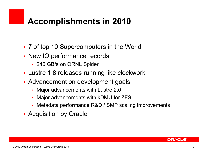# **Accomplishments in 2010**

- 7 of top 10 Supercomputers in the World
- New IO performance records
	- 240 GB/s on ORNL Spider
- Lustre 1.8 releases running like clockwork
- Advancement on development goals
	- Major advancements with Lustre 2.0
	- Major advancements with kDMU for ZFS
	- Metadata performance R&D / SMP scaling improvements
- Acquisition by Oracle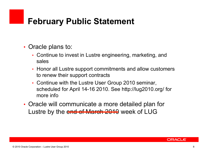# **February Public Statement**

- Oracle plans to:
	- Continue to invest in Lustre engineering, marketing, and sales
	- Honor all Lustre support commitments and allow customers to renew their support contracts
	- Continue with the Lustre User Group 2010 seminar, scheduled for April 14-16 2010. See http://lug2010.org/ for more info
- Oracle will communicate a more detailed plan for Lustre by the end of March 2010 week of LUG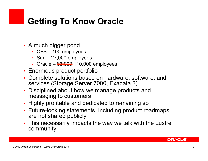# **Getting To Know Oracle**

- A much bigger pond
	- CFS 100 employees
	- Sun 27,000 employees
	- Oracle  $0.000$  employees
- Enormous product portfolio
- Complete solutions based on hardware, software, and services (Storage Server 7000, Exadata 2)
- Disciplined about how we manage products and messaging to customers
- Highly profitable and dedicated to remaining so
- Future-looking statements, including product roadmaps, are not shared publicly
- This necessarily impacts the way we talk with the Lustre community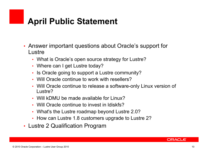# **April Public Statement**

- Answer important questions about Oracle's support for Lustre
	- What is Oracle's open source strategy for Lustre?
	- Where can I get Lustre today?
	- Is Oracle going to support a Lustre community?
	- Will Oracle continue to work with resellers?
	- Will Oracle continue to release a software-only Linux version of Lustre?
	- Will kDMU be made available for Linux?
	- Will Oracle continue to invest in ldiskfs?
	- What's the Lustre roadmap beyond Lustre 2.0?
	- How can Lustre 1.8 customers upgrade to Lustre 2?
- Lustre 2 Qualification Program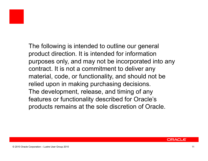

The following is intended to outline our general product direction. It is intended for information purposes only, and may not be incorporated into any contract. It is not a commitment to deliver any material, code, or functionality, and should not be relied upon in making purchasing decisions. The development, release, and timing of any features or functionality described for Oracle's products remains at the sole discretion of Oracle.

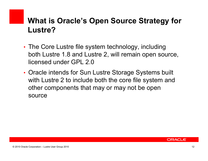#### **What is Oracle's Open Source Strategy for Lustre?**

- The Core Lustre file system technology, including both Lustre 1.8 and Lustre 2, will remain open source, licensed under GPL 2.0
- Oracle intends for Sun Lustre Storage Systems built with Lustre 2 to include both the core file system and other components that may or may not be open source

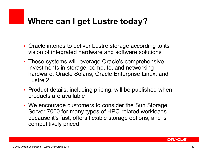# **Where can I get Lustre today?**

- Oracle intends to deliver Lustre storage according to its vision of integrated hardware and software solutions
- These systems will leverage Oracle's comprehensive investments in storage, compute, and networking hardware, Oracle Solaris, Oracle Enterprise Linux, and Lustre 2
- Product details, including pricing, will be published when products are available
- We encourage customers to consider the Sun Storage Server 7000 for many types of HPC-related workloads because it's fast, offers flexible storage options, and is competitively priced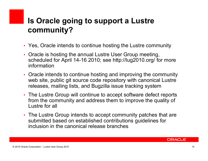## **Is Oracle going to support a Lustre community?**

- Yes, Oracle intends to continue hosting the Lustre community
- Oracle is hosting the annual Lustre User Group meeting, scheduled for April 14-16 2010; see http://lug2010.org/ for more information
- Oracle intends to continue hosting and improving the community web site, public git source code repository with canonical Lustre releases, mailing lists, and Bugzilla issue tracking system
- The Lustre Group will continue to accept software defect reports from the community and address them to improve the quality of Lustre for all
- The Lustre Group intends to accept community patches that are submitted based on established contributions guidelines for inclusion in the canonical release branches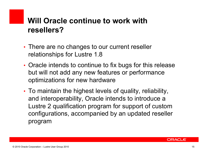#### **Will Oracle continue to work with resellers?**

- There are no changes to our current reseller relationships for Lustre 1.8
- Oracle intends to continue to fix bugs for this release but will not add any new features or performance optimizations for new hardware
- To maintain the highest levels of quality, reliability, and interoperability, Oracle intends to introduce a Lustre 2 qualification program for support of custom configurations, accompanied by an updated reseller program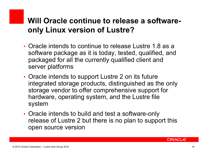#### **Will Oracle continue to release a softwareonly Linux version of Lustre?**

- Oracle intends to continue to release Lustre 1.8 as a software package as it is today, tested, qualified, and packaged for all the currently qualified client and server platforms
- Oracle intends to support Lustre 2 on its future integrated storage products, distinguished as the only storage vendor to offer comprehensive support for hardware, operating system, and the Lustre file system
- Oracle intends to build and test a software-only release of Lustre 2 but there is no plan to support this open source version

ORACLE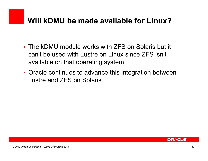### **Will kDMU be made available for Linux?**

- The kDMU module works with ZFS on Solaris but it can't be used with Lustre on Linux since ZFS isn't available on that operating system
- Oracle continues to advance this integration between Lustre and ZFS on Solaris

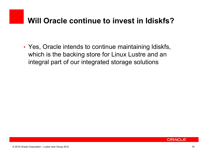### **Will Oracle continue to invest in ldiskfs?**

• Yes, Oracle intends to continue maintaining ldiskfs, which is the backing store for Linux Lustre and an integral part of our integrated storage solutions

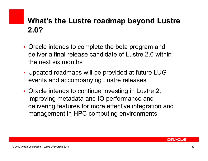#### **What's the Lustre roadmap beyond Lustre 2.0?**

- Oracle intends to complete the beta program and deliver a final release candidate of Lustre 2.0 within the next six months
- Updated roadmaps will be provided at future LUG events and accompanying Lustre releases
- Oracle intends to continue investing in Lustre 2, improving metadata and IO performance and delivering features for more effective integration and management in HPC computing environments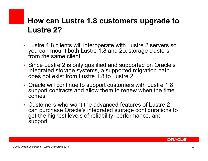#### **How can Lustre 1.8 customers upgrade to Lustre 2?**

- Lustre 1.8 clients will interoperate with Lustre 2 servers so you can mount both Lustre 1.8 and 2.x storage clusters from the same client
- Since Lustre 2 is only qualified and supported on Oracle's integrated storage systems, a supported migration path does not exist from Lustre 1.8 to Lustre 2
- Oracle will continue to support customers with Lustre 1.8 support contracts and allow them to renew when the time comes
- Customers who want the advanced features of Lustre 2 can purchase Oracle's integrated storage configurations to get the highest levels of reliability, performance, and support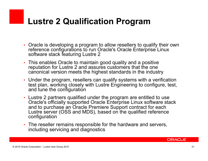# **Lustre 2 Qualification Program**

- Oracle is developing a program to allow resellers to qualify their own reference configurations to run Oracle's Oracle Enterprise Linux software stack featuring Lustre 2
- This enables Oracle to maintain good quality and a positive reputation for Lustre 2 and assures customers that the one canonical version meets the highest standards in the industry
- Under the program, resellers can qualify systems with a verification test plan, working closely with Lustre Engineering to configure, test, and tune the configuration
- Lustre 2 partners qualified under the program are entitled to use Oracle's officially supported Oracle Enterprise Linux software stack and to purchase an Oracle Premiere Support contract for each Lustre server (OSS and MDS), based on the qualified reference configuration
- The reseller remains responsible for the hardware and servers, including servicing and diagnostics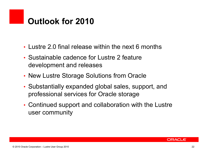# **Outlook for 2010**

- Lustre 2.0 final release within the next 6 months
- Sustainable cadence for Lustre 2 feature development and releases
- New Lustre Storage Solutions from Oracle
- Substantially expanded global sales, support, and professional services for Oracle storage
- Continued support and collaboration with the Lustre user community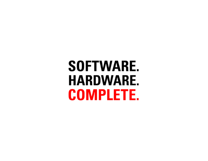# **SOFTWARE. HARDWARE. COMPLETE.**